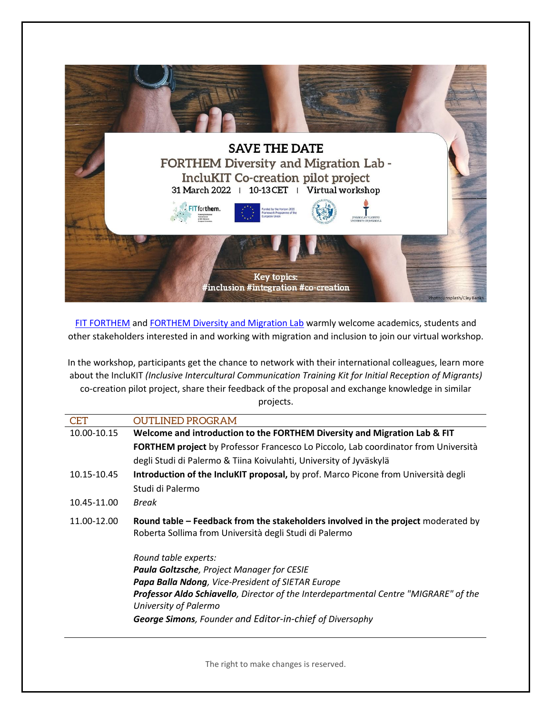

[FIT FORTHEM](https://www.forthem-alliance.eu/fit-forthem/) and [FORTHEM Diversity and Migration Lab](https://www.forthem-alliance.eu/objectives/labs/diversity-and-migration/) warmly welcome academics, students and other stakeholders interested in and working with migration and inclusion to join our virtual workshop.

In the workshop, participants get the chance to network with their international colleagues, learn more about the IncluKIT *(Inclusive Intercultural Communication Training Kit for Initial Reception of Migrants)* co-creation pilot project, share their feedback of the proposal and exchange knowledge in similar projects.

| <b>CET</b>  | OUTLINED PROGRAM                                                                          |
|-------------|-------------------------------------------------------------------------------------------|
| 10.00-10.15 | Welcome and introduction to the FORTHEM Diversity and Migration Lab & FIT                 |
|             | <b>FORTHEM project</b> by Professor Francesco Lo Piccolo, Lab coordinator from Università |
|             | degli Studi di Palermo & Tiina Koivulahti, University of Jyväskylä                        |
| 10.15-10.45 | Introduction of the IncluKIT proposal, by prof. Marco Picone from Università degli        |
|             | Studi di Palermo                                                                          |
| 10.45-11.00 | Break                                                                                     |
| 11.00-12.00 | Round table – Feedback from the stakeholders involved in the project moderated by         |
|             | Roberta Sollima from Università degli Studi di Palermo                                    |
|             | Round table experts:                                                                      |
|             | <b>Paula Goltzsche, Project Manager for CESIE</b>                                         |
|             | <b>Papa Balla Ndong, Vice-President of SIETAR Europe</b>                                  |
|             | Professor Aldo Schiavello, Director of the Interdepartmental Centre "MIGRARE" of the      |
|             | University of Palermo                                                                     |
|             | George Simons, Founder and Editor-in-chief of Diversophy                                  |

The right to make changes is reserved.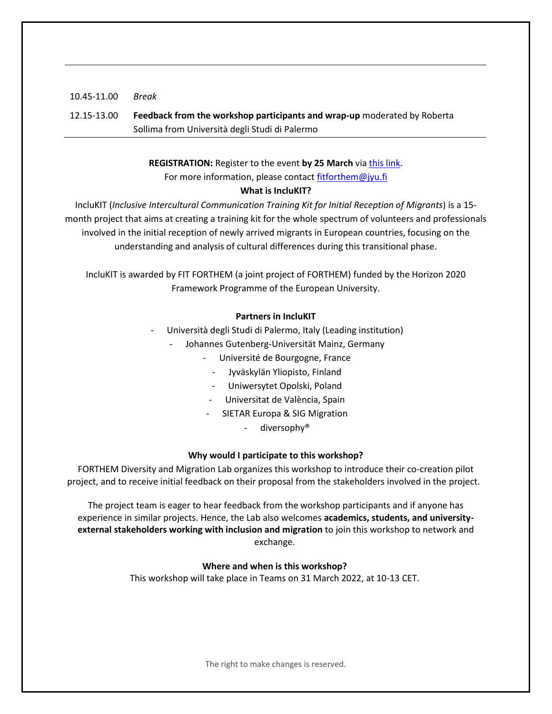# 10.45-11.00 *Break* 12.15-13.00 **Feedback from the workshop participants and wrap-up** moderated by Roberta Sollima from Università degli Studi di Palermo

## **REGISTRATION:** Register to the event **by 25 March** via [this link.](https://link.webropolsurveys.com/EP/5EDDD95A50DD97ED) For more information, please contact [fitforthem@jyu.fi](mailto:fitforthem@jyu.fi)

### **What is IncluKIT?**

IncluKIT (*Inclusive Intercultural Communication Training Kit for Initial Reception of Migrants*) is a 15 month project that aims at creating a training kit for the whole spectrum of volunteers and professionals involved in the initial reception of newly arrived migrants in European countries, focusing on the understanding and analysis of cultural differences during this transitional phase.

IncluKIT is awarded by FIT FORTHEM (a joint project of FORTHEM) funded by the Horizon 2020 Framework Programme of the European University.

#### **Partners in IncluKIT**

- Università degli Studi di Palermo, Italy (Leading institution)
	- Johannes Gutenberg-Universität Mainz, Germany
		- Université de Bourgogne, France
			- Jyväskylän Yliopisto, Finland
			- Uniwersytet Opolski, Poland
		- Universitat de València, Spain
		- SIETAR Europa & SIG Migration
			- diversophy<sup>®</sup>

## **Why would I participate to this workshop?**

FORTHEM Diversity and Migration Lab organizes this workshop to introduce their co-creation pilot project, and to receive initial feedback on their proposal from the stakeholders involved in the project.

The project team is eager to hear feedback from the workshop participants and if anyone has experience in similar projects. Hence, the Lab also welcomes **academics, students, and universityexternal stakeholders working with inclusion and migration** to join this workshop to network and exchange.

## **Where and when is this workshop?**

This workshop will take place in Teams on 31 March 2022, at 10-13 CET.

The right to make changes is reserved.